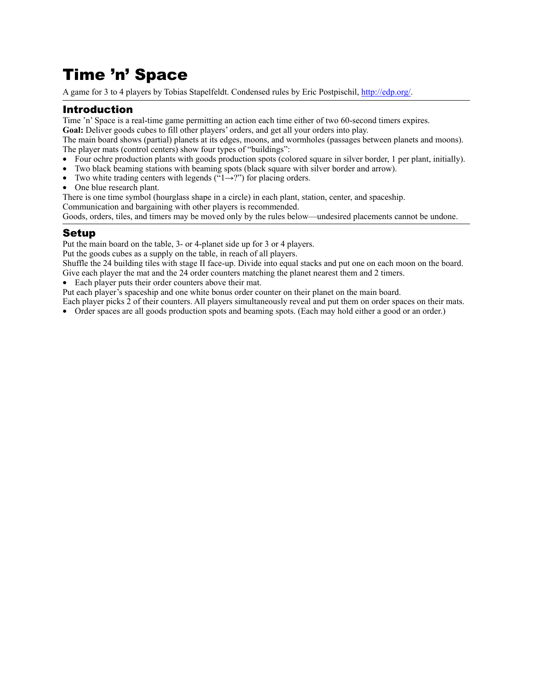# Time 'n' Space

A game for 3 to 4 players by Tobias Stapelfeldt. Condensed rules by Eric Postpischil, [http://edp.org/.](http://edp.org/)

# Introduction

Time 'n' Space is a real-time game permitting an action each time either of two 60-second timers expires.

**Goal:** Deliver goods cubes to fill other players' orders, and get all your orders into play.

The main board shows (partial) planets at its edges, moons, and wormholes (passages between planets and moons). The player mats (control centers) show four types of "buildings":

- Four ochre production plants with goods production spots (colored square in silver border, 1 per plant, initially).
- Two black beaming stations with beaming spots (black square with silver border and arrow).
- Two white trading centers with legends  $(\text{``1}\rightarrow ?")$  for placing orders.
- One blue research plant.

There is one time symbol (hourglass shape in a circle) in each plant, station, center, and spaceship. Communication and bargaining with other players is recommended.

Goods, orders, tiles, and timers may be moved only by the rules below—undesired placements cannot be undone.

## Setup

Put the main board on the table, 3- or 4-planet side up for 3 or 4 players.

Put the goods cubes as a supply on the table, in reach of all players.

Shuffle the 24 building tiles with stage II face-up. Divide into equal stacks and put one on each moon on the board. Give each player the mat and the 24 order counters matching the planet nearest them and 2 timers.

• Each player puts their order counters above their mat.

Put each player's spaceship and one white bonus order counter on their planet on the main board.

Each player picks 2 of their counters. All players simultaneously reveal and put them on order spaces on their mats.

• Order spaces are all goods production spots and beaming spots. (Each may hold either a good or an order.)